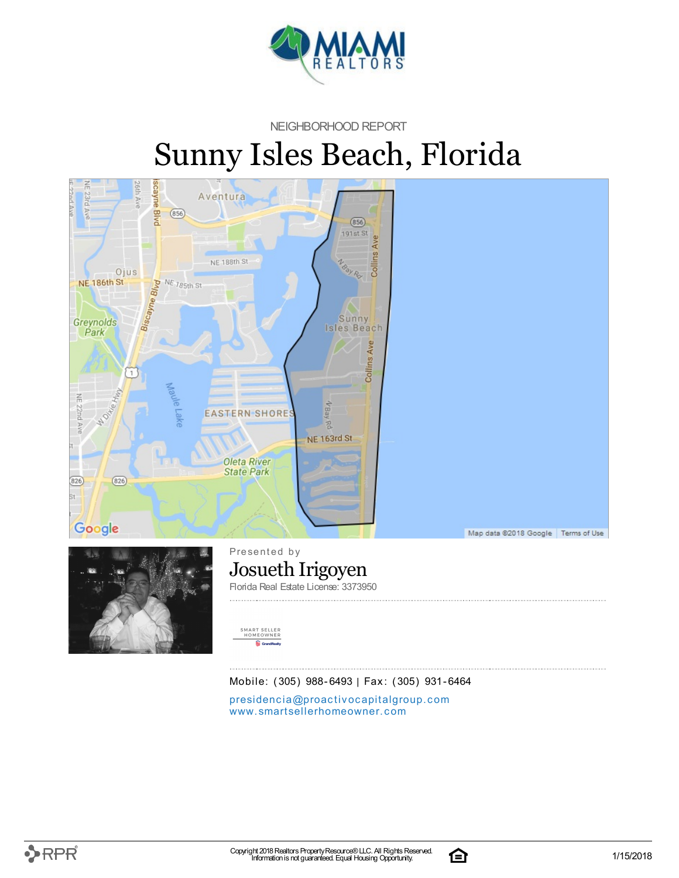

#### NEIGHBORHOOD REPORT

# Sunny Isles Beach, Florida





Presented by Josueth Irigoyen Florida Real Estate License: 3373950



Mobile: (305) 988-6493 | Fax: (305) 931-6464

presidencia[@](mailto:presidencia@proactivocapitalgroup.com)proactivocapitalgroup.com [www.](http://www.smartsellerhomeowner.com)smartsellerhomeowner.com

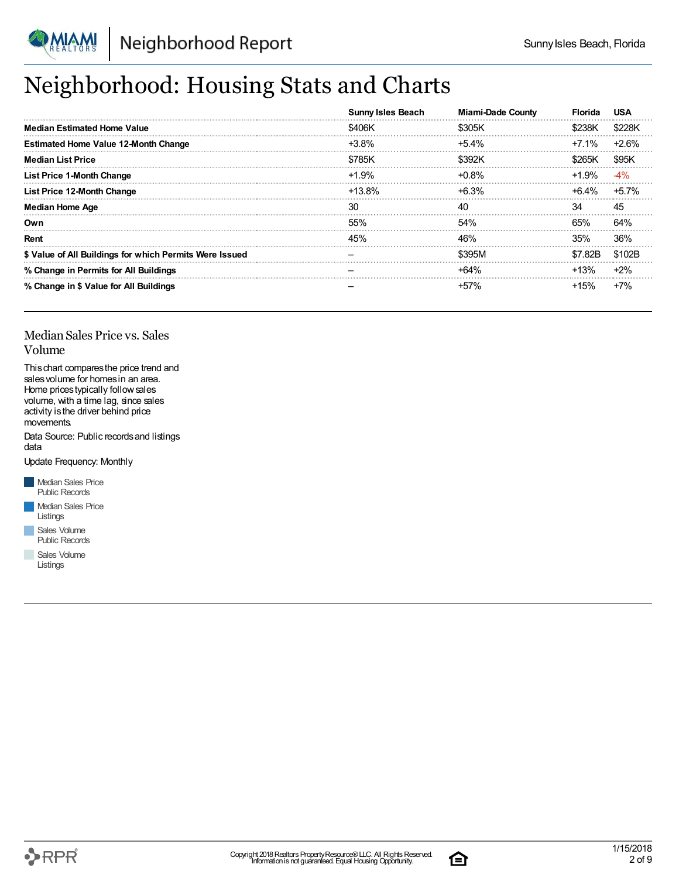

## Neighborhood: Housing Stats and Charts

|                                                         | <b>Sunny Isles Beach</b> | <b>Miami-Dade County</b> | <b>Florida</b> | USA     |
|---------------------------------------------------------|--------------------------|--------------------------|----------------|---------|
| <b>Median Estimated Home Value</b>                      | \$406K                   | \$305K                   | \$238K         | \$228K  |
| <b>Estimated Home Value 12-Month Change</b>             | $+3.8\%$                 | $+5.4\%$                 | +7.1%          | $+2.6%$ |
| <b>Median List Price</b>                                | \$785K                   | \$392K                   | \$265K         | \$95K   |
| <b>List Price 1-Month Change</b>                        | $+1.9%$                  | $+0.8\%$                 | $+1.9%$        | -4%     |
| List Price 12-Month Change                              | +13.8%                   | $+6.3%$                  | +6.4%          | $+5.7%$ |
| <b>Median Home Age</b>                                  | 30                       | 40                       | 34             | 45      |
| Own                                                     | 55%                      | 54%                      | 65%            | 64%     |
| Rent                                                    | 45%                      | 46%                      | 35%            | 36%     |
| \$ Value of All Buildings for which Permits Were Issued |                          | \$395M                   | \$7.82B        | \$102B  |
| % Change in Permits for All Buildings                   |                          | $+64%$                   | $+13%$         | $+2%$   |
| % Change in \$ Value for All Buildings                  |                          | +57%                     | $+15%$         | $+7%$   |

#### Median Sales Price vs. Sales Volume

Thischart comparesthe price trend and salesvolume for homesin an area. Home pricestypically followsales volume, with a time lag, since sales activity is the driver behind price movements.

Data Source: Public records and listings data

Update Frequency: Monthly

**Median Sales Price** Public Records **Median Sales Price** Listings

Sales Volume Public Records

Sales Volume Listings



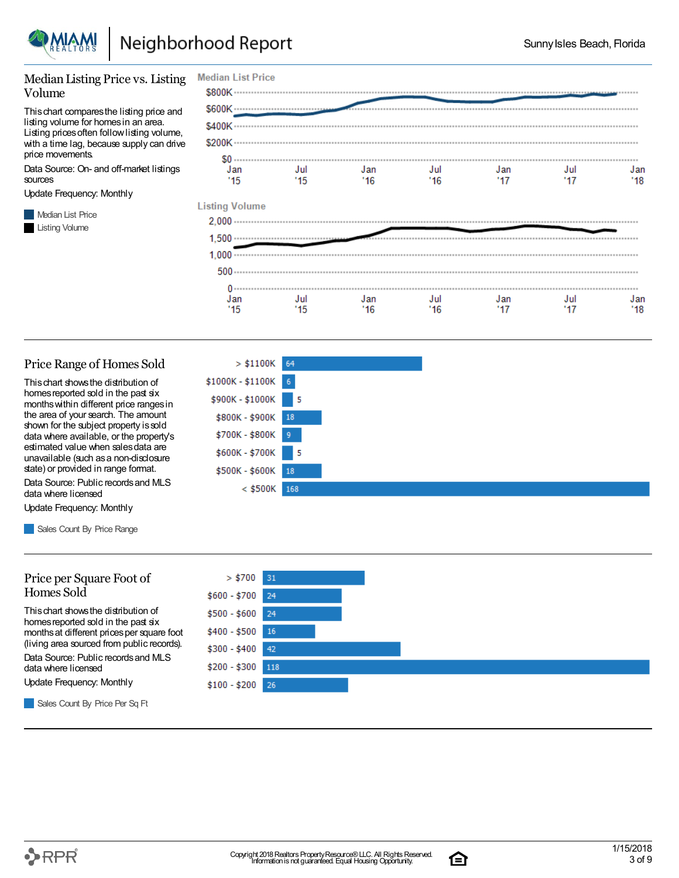

 $> $1100K$  64

l 5

l 5

 $$1000K - $1100K$  6 \$900K - \$1000K

> \$800K - \$900K 18 \$700K - \$800K 9 \$600K - \$700K

\$500K - \$600K 18

 $<$  \$500K 168

#### Median Listing Price vs. Listing Volume

Thischart comparesthe listing price and listing volume for homesin an area. Listing prices often follow listing volume, with a time lag, because supply can drive price movements.

Data Source: On- and off-market listings sources

Update Frequency: Monthly

**Median List Price Listing Volume** 

| <b>Median List Price</b> |                      |            |            |            |            |            |
|--------------------------|----------------------|------------|------------|------------|------------|------------|
| \$800K ··············    |                      |            |            |            |            |            |
|                          |                      |            |            |            |            |            |
| \$400K -                 |                      |            |            |            |            |            |
| \$200K                   |                      |            |            |            |            |            |
| $$0 -$<br>Jan<br>'15     | Jul<br>'15           | Jan<br>'16 | Jul<br>'16 | Jan<br>'17 | Jul<br>'17 | Jan<br>'18 |
| <b>Listing Volume</b>    |                      |            |            |            |            |            |
| 2.000                    |                      |            |            |            |            |            |
| $1,500 -$                |                      |            |            |            |            |            |
| 1.000                    |                      |            |            |            |            |            |
| $500 -$                  |                      |            |            |            |            |            |
| 0.                       |                      |            |            |            |            |            |
| Jan<br>'15               | Jul<br>$^{\prime}15$ | Jan<br>'16 | Jul<br>'16 | Jan<br>'17 | Jul<br>'17 | Jan<br>'18 |

#### Price Range of Homes Sold

Thischart showsthe distribution of homes reported sold in the past six monthswithin different price rangesin the area of your search. The amount shown for the subject property is sold data where available, or the property's estimated value when salesdata are unavailable (such asa non-disclosure state) or provided in range format.

Data Source: Public recordsand MLS data where licensed

Update Frequency: Monthly

Sales Count By Price Range

#### Price per Square Foot of Homes Sold

Thischart showsthe distribution of homes reported sold in the past six monthsat different pricesper square foot (living area sourced from public records).

Data Source: Public recordsand MLS data where licensed

Update Frequency: Monthly



Sales Count By Price Per Sq Ft



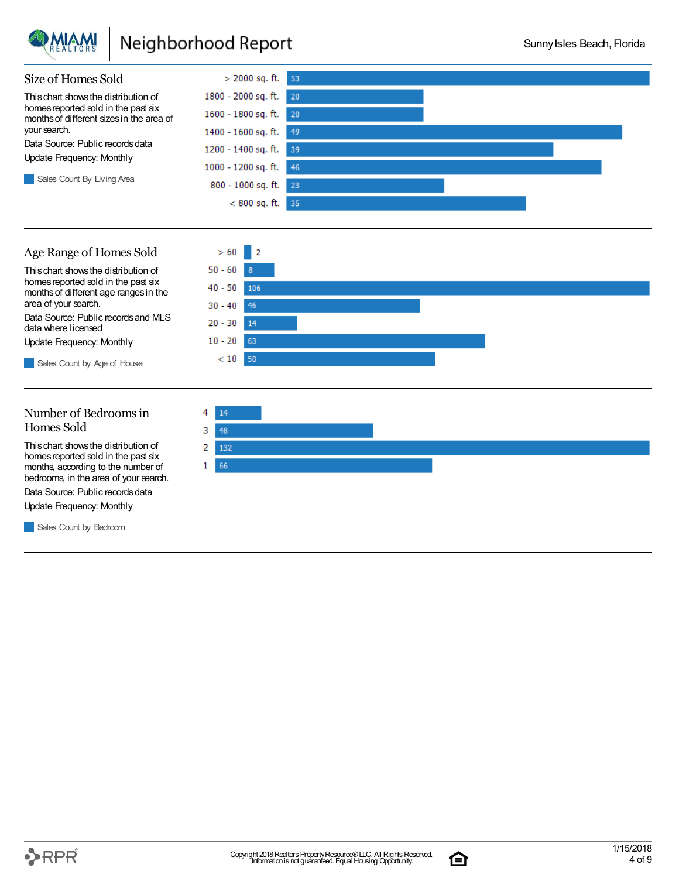

### Neighborhood Report



#### Number of Bedroomsin Homes Sold

Thischart showsthe distribution of homes reported sold in the past six months, according to the number of bedrooms, in the area of your search.

Data Source: Public records data

Update Frequency: Monthly

Sales Count by Bedroom



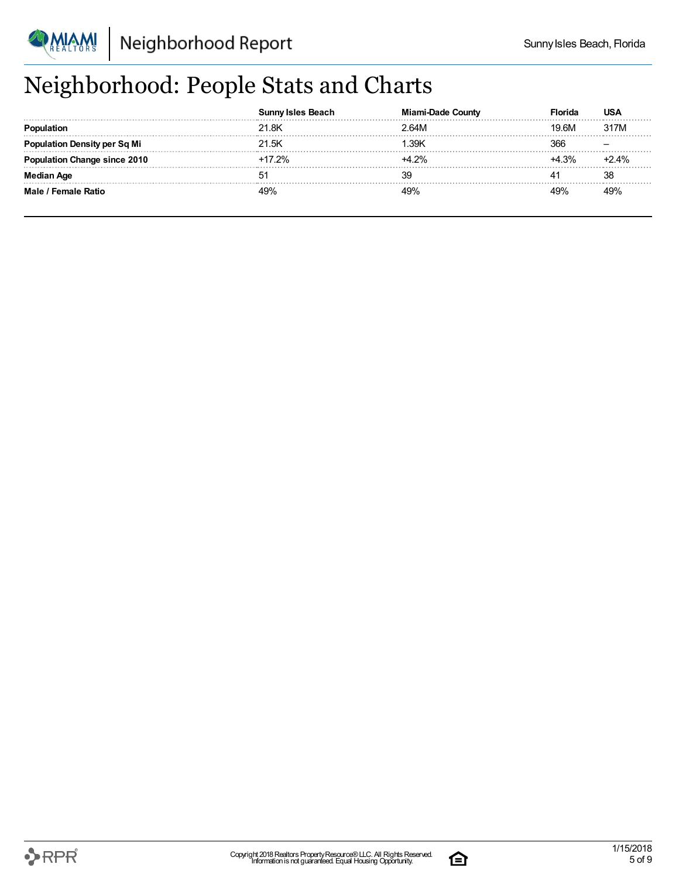

## Neighborhood: People Stats and Charts

|                                     | Sunnv Isles Beach | Miami-Dade County | Florida | USA     |
|-------------------------------------|-------------------|-------------------|---------|---------|
|                                     | 21.8K             | 2.64M             | 19.6M   | 317M    |
| <b>Population Density per Sq Mi</b> | 21.5K             | .39K              | 366     |         |
| tion Change since 2010              | $+17.2%$          | $+4.2%$           | $+4.3%$ | $+2.4%$ |
| Median Age                          | 5 <sup>1</sup>    | 39                |         | 38      |
| Male / Female Ratio                 | 49%               | 49%               | 49%     | 49%     |

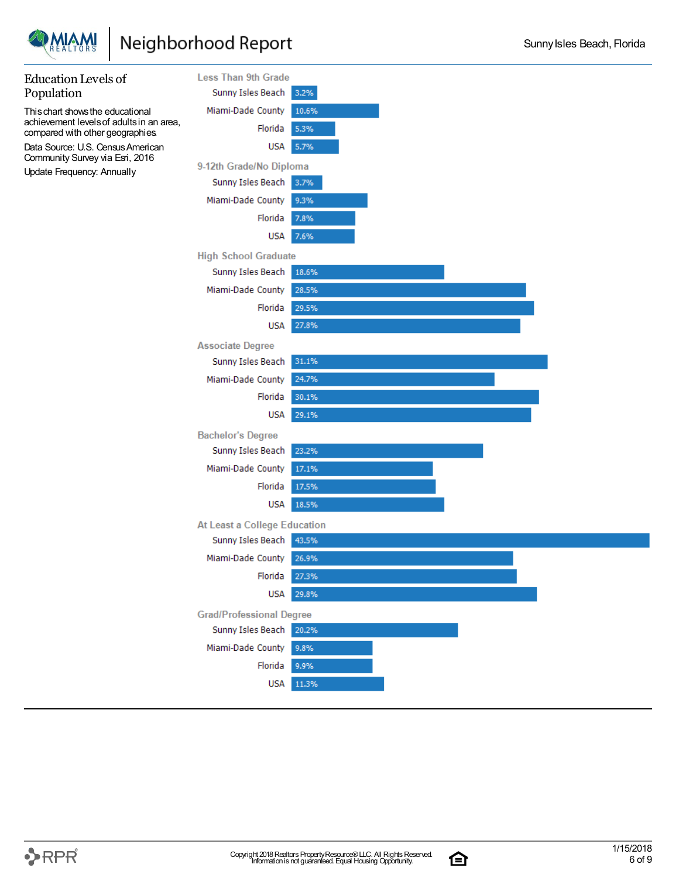

### Neighborhood Report



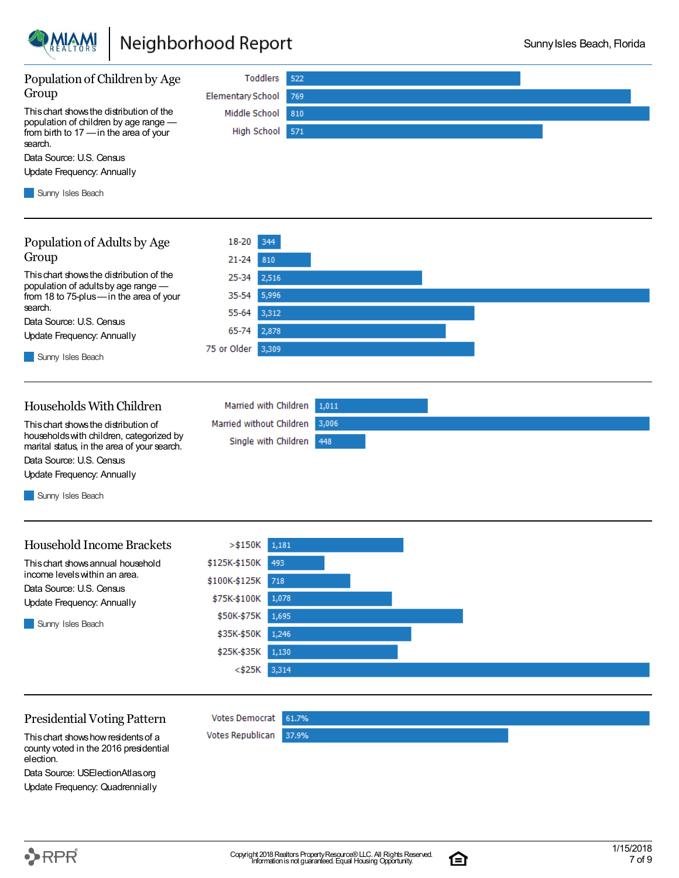

### Neighborhood Report



election. Data Source: USElectionAtlas.org

Update Frequency: Quadrennially

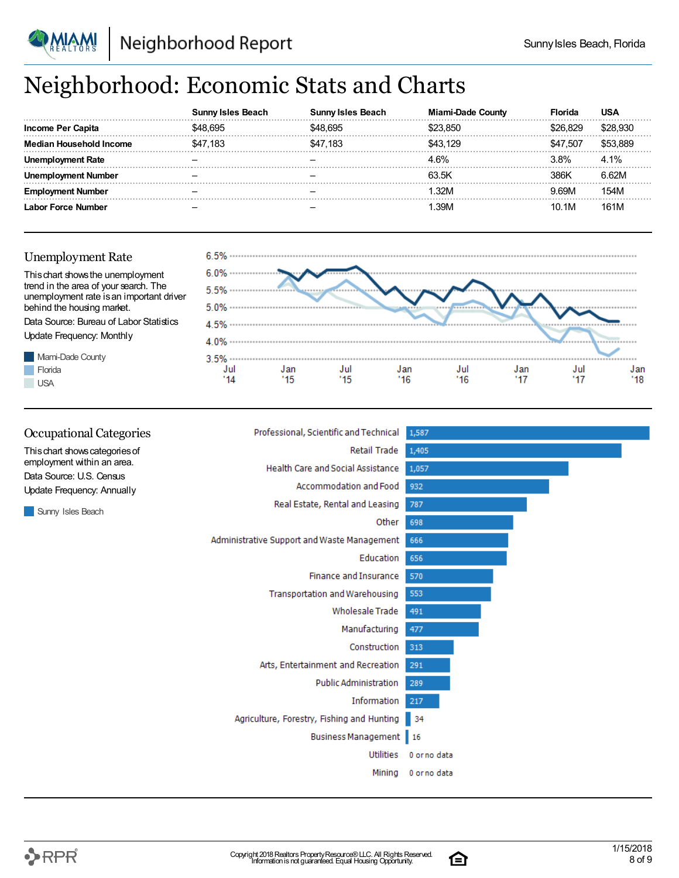

### Neighborhood: Economic Stats and Charts

|                         | eacn     | eacn     | งนทณ  | ⊦lor<br>rıda | USA      |
|-------------------------|----------|----------|-------|--------------|----------|
| Income Per Capita       |          |          |       | 829 i        |          |
| <b>Household Income</b> | \$47.183 | \$47.183 | 3 129 | \$47,507     | \$53.889 |
| Rate                    |          |          |       | $3.8\%$      | 4.1%     |
| umber                   |          |          | 63.5K | 386K         | 6.62M    |
| Number                  |          |          | .32M  | 9.69M        | 154M     |
| orce Number             |          |          | 39M   | 10.1M        | 161M     |

#### Unemployment Rate

**Florida USA** 



| <b>Occupational Categories</b>                         | Professional, Scientific and Technical      | 1,587        |
|--------------------------------------------------------|---------------------------------------------|--------------|
| This chart shows categories of                         | Retail Trade                                | 1,405        |
| employment within an area.<br>Data Source: U.S. Census | <b>Health Care and Social Assistance</b>    | 1,057        |
| Update Frequency: Annually                             | <b>Accommodation and Food</b>               | 932          |
| Sunny Isles Beach                                      | Real Estate, Rental and Leasing             | 787          |
|                                                        | Other                                       | 698          |
|                                                        | Administrative Support and Waste Management | 666          |
|                                                        | Education                                   | 656          |
|                                                        | <b>Finance and Insurance</b>                | 570          |
|                                                        | <b>Transportation and Warehousing</b>       | 553          |
|                                                        | Wholesale Trade                             | 491          |
|                                                        | Manufacturing                               | 477          |
|                                                        | Construction                                | 313          |
|                                                        | Arts, Entertainment and Recreation          | 291          |
|                                                        | <b>Public Administration</b>                | 289          |
|                                                        | Information                                 | 217          |
|                                                        | Agriculture, Forestry, Fishing and Hunting  | 34           |
|                                                        | Business Management 16                      |              |
|                                                        | <b>Utilities</b>                            | 0 or no data |
|                                                        | Mining                                      | 0 or no data |



白